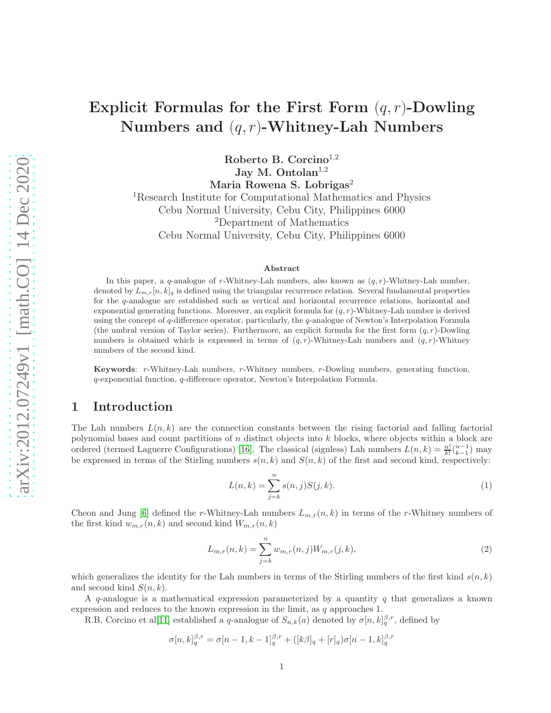# Explicit Formulas for the First Form  $(q, r)$ -Dowling Numbers and  $(q, r)$ -Whitney-Lah Numbers

Roberto B. Corcino<sup>1,2</sup> Jay M. Ontolan $^{1,2}$ Maria Rowena S. Lobrigas<sup>2</sup>

<sup>1</sup>Research Institute for Computational Mathematics and Physics Cebu Normal University, Cebu City, Philippines 6000 <sup>2</sup>Department of Mathematics Cebu Normal University, Cebu City, Philippines 6000

#### Abstract

In this paper, a q-analogue of r-Whitney-Lah numbers, also known as  $(q, r)$ -Whitney-Lah number, denoted by  $L_{m,r}[n, k]_q$  is defined using the triangular recurrence relation. Several fundamental properties for the q-analogue are established such as vertical and horizontal recurrence relations, horizontal and exponential generating functions. Moreover, an explicit formula for  $(q, r)$ -Whitney-Lah number is derived using the concept of  $q$ -difference operator, particularly, the  $q$ -analogue of Newton's Interpolation Formula (the umbral version of Taylor series). Furthermore, an explicit formula for the first form  $(q, r)$ -Dowling numbers is obtained which is expressed in terms of  $(q, r)$ -Whitney-Lah numbers and  $(q, r)$ -Whitney numbers of the second kind.

Keywords: r-Whitney-Lah numbers, r-Whitney numbers, r-Dowling numbers, generating function, q-exponential function, q-difference operator, Newton's Interpolation Formula.

### 1 Introduction

The Lah numbers  $L(n, k)$  are the connection constants between the rising factorial and falling factorial polynomial bases and count partitions of n distinct objects into k blocks, where objects within a block are ordered (termed Laguerre Configurations) [\[16\]](#page-12-0). The classical (signless) Lah numbers  $L(n, k) = \frac{n!}{k!} {n-1 \choose k-1}$  may be expressed in terms of the Stirling numbers  $s(n, k)$  and  $S(n, k)$  of the first and second kind, respectively:

$$
L(n,k) = \sum_{j=k}^{n} s(n,j)S(j,k).
$$
 (1)

Cheon and Jung [\[6\]](#page-12-1) defined the r-Whitney-Lah numbers  $L_{m,r}(n, k)$  in terms of the r-Whitney numbers of the first kind  $w_{m,r}(n, k)$  and second kind  $W_{m,r}(n, k)$ 

$$
L_{m,r}(n,k) = \sum_{j=k}^{n} w_{m,r}(n,j) W_{m,r}(j,k),
$$
\n(2)

which generalizes the identity for the Lah numbers in terms of the Stirling numbers of the first kind  $s(n, k)$ and second kind  $S(n, k)$ .

A  $q$ -analogue is a mathematical expression parameterized by a quantity  $q$  that generalizes a known expression and reduces to the known expression in the limit, as q approaches 1.

R.B. Corcino et al[\[11\]](#page-12-2) established a q-analogue of  $S_{n,k}(a)$  denoted by  $\sigma[n,k]_q^{\beta,r}$ , defined by

$$
\sigma[n,k]_q^{\beta,r} = \sigma[n-1,k-1]_q^{\beta,r} + ([k\beta]_q + [r]_q)\sigma[n-1,k]_q^{\beta,r}
$$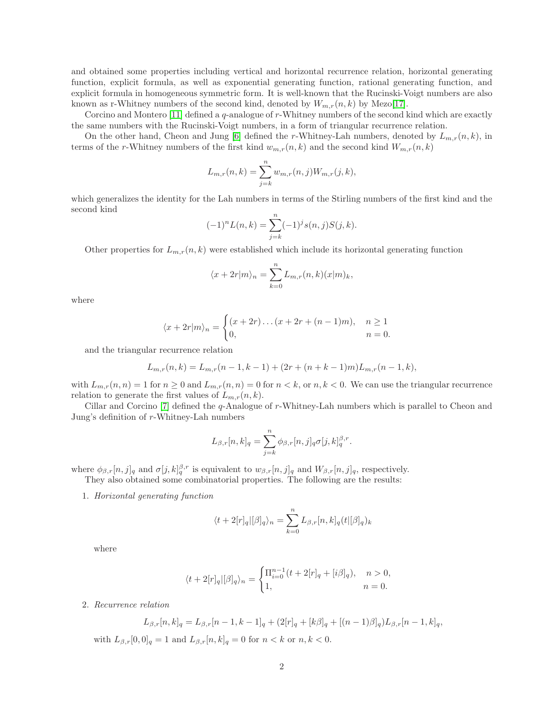and obtained some properties including vertical and horizontal recurrence relation, horizontal generating function, explicit formula, as well as exponential generating function, rational generating function, and explicit formula in homogeneous symmetric form. It is well-known that the Rucinski-Voigt numbers are also known as r-Whitney numbers of the second kind, denoted by  $W_{m,r}(n, k)$  by Mezo[\[17\]](#page-12-3).

Corcino and Montero [\[11\]](#page-12-2) defined a q-analogue of r-Whitney numbers of the second kind which are exactly the same numbers with the Rucinski-Voigt numbers, in a form of triangular recurrence relation.

On the other hand, Cheon and Jung [\[6\]](#page-12-1) defined the r-Whitney-Lah numbers, denoted by  $L_{m,r}(n, k)$ , in terms of the r-Whitney numbers of the first kind  $w_{m,r}(n, k)$  and the second kind  $W_{m,r}(n, k)$ 

$$
L_{m,r}(n,k) = \sum_{j=k}^{n} w_{m,r}(n,j) W_{m,r}(j,k),
$$

which generalizes the identity for the Lah numbers in terms of the Stirling numbers of the first kind and the second kind

$$
(-1)^n L(n,k) = \sum_{j=k}^n (-1)^j s(n,j) S(j,k).
$$

Other properties for  $L_{m,r}(n, k)$  were established which include its horizontal generating function

$$
\langle x + 2r|m\rangle_n = \sum_{k=0}^n L_{m,r}(n,k)(x|m)_k,
$$

where

$$
\langle x + 2r|m\rangle_n = \begin{cases} (x+2r)\dots(x+2r+(n-1)m), & n \ge 1\\ 0, & n = 0. \end{cases}
$$

and the triangular recurrence relation

$$
L_{m,r}(n,k) = L_{m,r}(n-1,k-1) + (2r + (n+k-1)m)L_{m,r}(n-1,k),
$$

with  $L_{m,r}(n,n) = 1$  for  $n \ge 0$  and  $L_{m,r}(n,n) = 0$  for  $n < k$ , or  $n, k < 0$ . We can use the triangular recurrence relation to generate the first values of  $L_{m,r}(n, k)$ .

Cillar and Corcino [\[7\]](#page-12-4) defined the q-Analogue of r-Whitney-Lah numbers which is parallel to Cheon and Jung's definition of r-Whitney-Lah numbers

$$
L_{\beta,r}[n,k]_q = \sum_{j=k}^n \phi_{\beta,r}[n,j]_q \sigma[j,k]_q^{\beta,r}.
$$

where  $\phi_{\beta,r}[n,j]_q$  and  $\sigma[j,k]_q^{\beta,r}$  is equivalent to  $w_{\beta,r}[n,j]_q$  and  $W_{\beta,r}[n,j]_q$ , respectively.

They also obtained some combinatorial properties. The following are the results:

1. *Horizontal generating function*

$$
\langle t+2[r]_q|[\beta]_q\rangle_n = \sum_{k=0}^n L_{\beta,r}[n,k]_q(t|[\beta]_q)_k
$$

where

$$
\langle t+2[r]_q|[\beta]_q\rangle_n=\begin{cases} \Pi_{i=0}^{n-1}(t+2[r]_q+[i\beta]_q),&n>0,\\ 1,&n=0.\end{cases}
$$

2. *Recurrence relation*

$$
L_{\beta,r}[n,k]_q = L_{\beta,r}[n-1,k-1]_q + (2[r]_q + [k\beta]_q + [(n-1)\beta]_q)L_{\beta,r}[n-1,k]_q,
$$

with  $L_{\beta,r}[0,0]_q = 1$  and  $L_{\beta,r}[n,k]_q = 0$  for  $n < k$  or  $n, k < 0$ .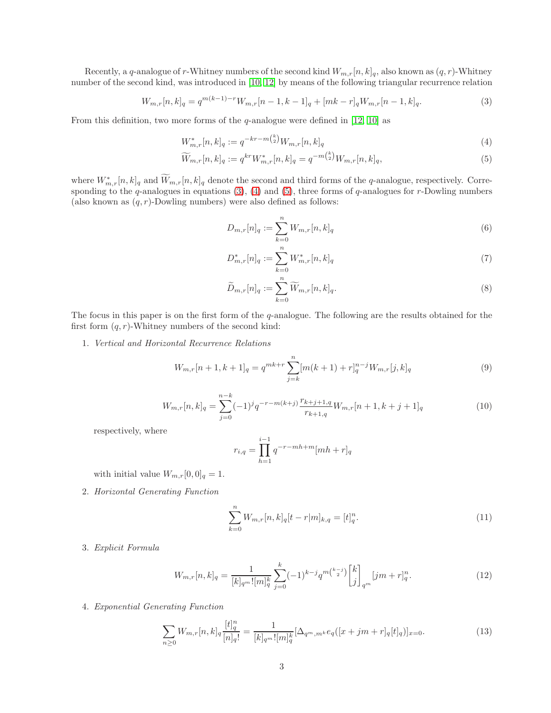Recently, a q-analogue of r-Whitney numbers of the second kind  $W_{m,r}[n, k]_q$ , also known as  $(q, r)$ -Whitney number of the second kind, was introduced in [\[10,](#page-12-5) [12\]](#page-12-6) by means of the following triangular recurrence relation

<span id="page-2-0"></span>
$$
W_{m,r}[n,k]_q = q^{m(k-1)-r} W_{m,r}[n-1,k-1]_q + [mk-r]_q W_{m,r}[n-1,k]_q.
$$
\n(3)

From this definition, two more forms of the  $q$ -analogue were defined in [\[12,](#page-12-6) [10\]](#page-12-5) as

$$
W_{m,r}^*[n,k]_q := q^{-kr-m\binom{k}{2}} W_{m,r}[n,k]_q
$$
\n<sup>(4)</sup>

$$
\widetilde{W}_{m,r}[n,k]_q := q^{kr} W_{m,r}^*[n,k]_q = q^{-m\binom{k}{2}} W_{m,r}[n,k]_q,\tag{5}
$$

where  $W_{m,r}^*[n,k]_q$  and  $W_{m,r}[n,k]_q$  denote the second and third forms of the q-analogue, respectively. Corresponding to the q-analogues in equations  $(3)$ ,  $(4)$  and  $(5)$ , three forms of q-analogues for r-Dowling numbers (also known as  $(q, r)$ -Dowling numbers) were also defined as follows:

<span id="page-2-2"></span><span id="page-2-1"></span>
$$
D_{m,r}[n]_q := \sum_{k=0}^n W_{m,r}[n,k]_q
$$
\n(6)

$$
D_{m,r}^*[n]_q := \sum_{k=0}^n W_{m,r}^*[n,k]_q
$$
\n<sup>(7)</sup>

$$
\widetilde{D}_{m,r}[n]_q := \sum_{k=0}^n \widetilde{W}_{m,r}[n,k]_q.
$$
\n
$$
(8)
$$

The focus in this paper is on the first form of the q-analogue. The following are the results obtained for the first form  $(q, r)$ -Whitney numbers of the second kind:

1. *Vertical and Horizontal Recurrence Relations*

$$
W_{m,r}[n+1,k+1]_q = q^{mk+r} \sum_{j=k}^n [m(k+1) + r]_q^{n-j} W_{m,r}[j,k]_q
$$
\n(9)

$$
W_{m,r}[n,k]_q = \sum_{j=0}^{n-k} (-1)^j q^{-r-m(k+j)} \frac{r_{k+j+1,q}}{r_{k+1,q}} W_{m,r}[n+1,k+j+1]_q
$$
\n(10)

respectively, where

$$
r_{i,q} = \prod_{h=1}^{i-1} q^{-r-mh+m} [mh+r]_q
$$

with initial value  $W_{m,r}[0,0]_q = 1$ .

2. *Horizontal Generating Function*

<span id="page-2-3"></span>
$$
\sum_{k=0}^{n} W_{m,r}[n,k]_q[t-r|m]_{k,q} = [t]_q^n.
$$
\n(11)

3. *Explicit Formula*

$$
W_{m,r}[n,k]_q = \frac{1}{[k]_q m! [m]_q^k} \sum_{j=0}^k (-1)^{k-j} q^{m\binom{k-j}{2}} \begin{bmatrix} k \\ j \end{bmatrix}_{q^m} [jm+r]_q^n.
$$
 (12)

4. *Exponential Generating Function*

<span id="page-2-4"></span>
$$
\sum_{n\geq 0} W_{m,r}[n,k]_q \frac{[t]_q^n}{[n]_q!} = \frac{1}{[k]_q^{m}![m]_q^k} [\Delta_{q^m,m^k} e_q([x+jm+r]_q[t]_q)]_{x=0}.
$$
\n(13)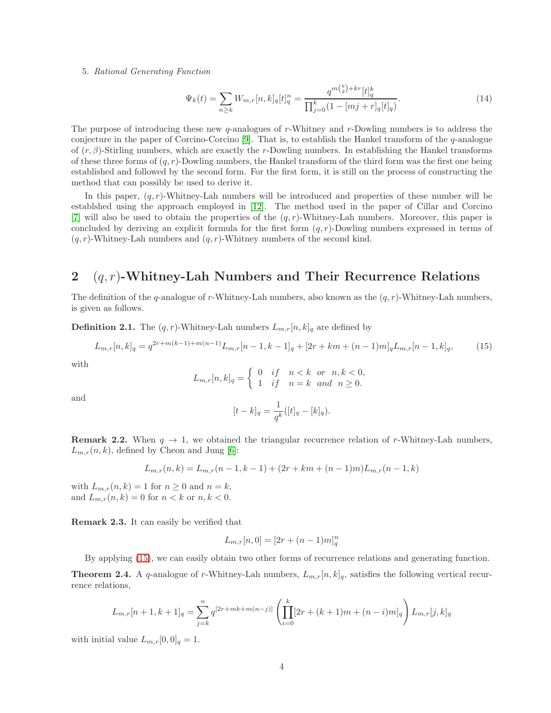#### 5. *Rational Generating Function*

<span id="page-3-1"></span>
$$
\Psi_k(t) = \sum_{n \ge k} W_{m,r}[n,k]_q[t]_q^n = \frac{q^{m\binom{k}{2} + kr}[t]_q^k}{\prod_{j=0}^k (1 - [mj + r]_q[t]_q)}.
$$
\n(14)

 $\lambda$ 

The purpose of introducing these new  $q$ -analogues of r-Whitney and r-Dowling numbers is to address the conjecture in the paper of Corcino-Corcino [\[9\]](#page-12-7). That is, to establish the Hankel transform of the  $q$ -analogue of  $(r, \beta)$ -Stirling numbers, which are exactly the r-Dowling numbers. In establishing the Hankel transforms of these three forms of  $(q, r)$ -Dowling numbers, the Hankel transform of the third form was the first one being established and followed by the second form. For the first form, it is still on the process of constructing the method that can possibly be used to derive it.

In this paper,  $(q, r)$ -Whitney-Lah numbers will be introduced and properties of these number will be establshed using the approach employed in [\[12\]](#page-12-6). The method used in the paper of Cillar and Corcino [\[7\]](#page-12-4) will also be used to obtain the properties of the  $(q, r)$ -Whitney-Lah numbers. Moreover, this paper is concluded by deriving an explicit formula for the first form  $(q, r)$ -Dowling numbers expressed in terms of  $(q, r)$ -Whitney-Lah numbers and  $(q, r)$ -Whitney numbers of the second kind.

# 2  $(q, r)$ -Whitney-Lah Numbers and Their Recurrence Relations

The definition of the q-analogue of r-Whitney-Lah numbers, also known as the  $(q, r)$ -Whitney-Lah numbers, is given as follows.

**Definition 2.1.** The  $(q, r)$ -Whitney-Lah numbers  $L_{m,r}[n, k]_q$  are defined by

<span id="page-3-0"></span>
$$
L_{m,r}[n,k]_q = q^{2r+m(k-1)+m(n-1)}L_{m,r}[n-1,k-1]_q + [2r+km+(n-1)m]_qL_{m,r}[n-1,k]_q,
$$
\n(15)

with

$$
L_{m,r}[n,k]_q = \begin{cases} 0 & \text{if} \quad n < k \quad \text{or} \quad n, k < 0, \\ 1 & \text{if} \quad n = k \quad \text{and} \quad n \ge 0. \end{cases}
$$

and

$$
[t-k]_q = \frac{1}{q^k}([t]_q - [k]_q).
$$

**Remark 2.2.** When  $q \to 1$ , we obtained the triangular recurrence relation of r-Whitney-Lah numbers,  $L_{m,r}(n, k)$ , defined by Cheon and Jung [\[6\]](#page-12-1):

$$
L_{m,r}(n,k) = L_{m,r}(n-1,k-1) + (2r + km + (n-1)m)L_{m,r}(n-1,k)
$$

with  $L_{m,r}(n, k) = 1$  for  $n \geq 0$  and  $n = k$ , and  $L_{m,r}(n, k) = 0$  for  $n < k$  or  $n, k < 0$ .

Remark 2.3. It can easily be verified that

$$
L_{m,r}[n,0] = [2r + (n-1)m]_q^n
$$

By applying [\(15\)](#page-3-0), we can easily obtain two other forms of recurrence relations and generating function.

**Theorem 2.4.** A q-analogue of r-Whitney-Lah numbers,  $L_{m,r}[n, k]_q$ , satisfies the following vertical recurrence relations,

$$
L_{m,r}[n+1,k+1]_q = \sum_{j=k}^n q^{[2r+mk+m(n-j)]} \left( \prod_{i=0}^k [2r+(k+1)m+(n-i)m]_q \right) L_{m,r}[j,k]_q
$$

with initial value  $L_{m,r}[0,0]_q = 1$ .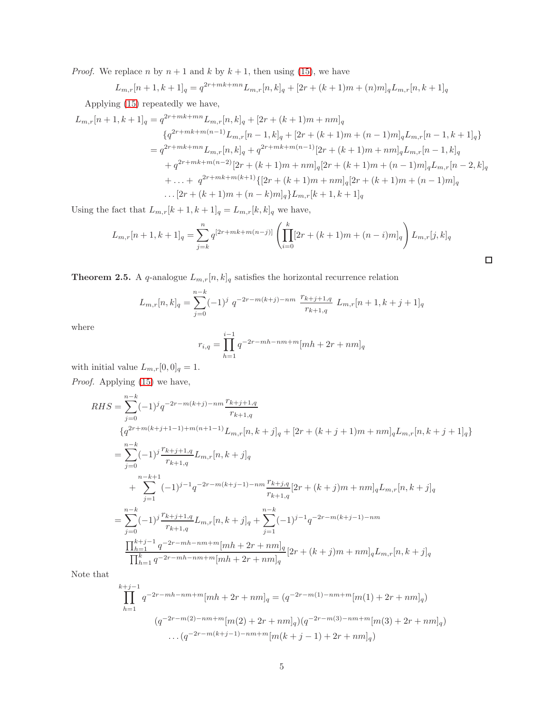*Proof.* We replace n by  $n + 1$  and k by  $k + 1$ , then using [\(15\)](#page-3-0), we have

$$
L_{m,r}[n+1,k+1]_q = q^{2r+mk+mn} L_{m,r}[n,k]_q + [2r + (k+1)m + (n)m]_q L_{m,r}[n,k+1]_q
$$

Applying [\(15\)](#page-3-0) repeatedly we have,

$$
L_{m,r}[n+1,k+1]_q = q^{2r+mk+mn} L_{m,r}[n,k]_q + [2r + (k+1)m + nm]_q
$$
  
\n
$$
\{q^{2r+mk+m(n-1)} L_{m,r}[n-1,k]_q + [2r + (k+1)m + (n-1)m]_q L_{m,r}[n-1,k+1]_q\}
$$
  
\n
$$
= q^{2r+mk+mn} L_{m,r}[n,k]_q + q^{2r+mk+m(n-1)} [2r + (k+1)m + nm]_q L_{m,r}[n-1,k]_q
$$
  
\n
$$
+ q^{2r+mk+m(n-2)} [2r + (k+1)m + nm]_q [2r + (k+1)m + (n-1)m]_q L_{m,r}[n-2,k]_q
$$
  
\n
$$
+ \dots + q^{2r+mk+m(k+1)} \{[2r + (k+1)m + nm]_q [2r + (k+1)m + (n-1)m]_q
$$
  
\n
$$
\dots [2r + (k+1)m + (n-k)m]_q \} L_{m,r}[k+1,k+1]_q
$$

Using the fact that  $L_{m,r}[k+1,k+1]_q = L_{m,r}[k,k]_q$  we have,

$$
L_{m,r}[n+1,k+1]_q = \sum_{j=k}^n q^{[2r+mk+m(n-j)]} \left( \prod_{i=0}^k [2r+(k+1)m+(n-i)m]_q \right) L_{m,r}[j,k]_q
$$

 $\Box$ 

**Theorem 2.5.** A q-analogue  $L_{m,r}[n, k]_q$  satisfies the horizontal recurrence relation

$$
L_{m,r}[n,k]_q = \sum_{j=0}^{n-k} (-1)^j q^{-2r-m(k+j)-nm} \frac{r_{k+j+1,q}}{r_{k+1,q}} L_{m,r}[n+1,k+j+1]_q
$$

where

$$
r_{i,q} = \prod_{h=1}^{i-1} q^{-2r - mh - nm + m} [mh + 2r + nm]_q
$$

with initial value  $L_{m,r}[0,0]_q = 1$ . *Proof.* Applying [\(15\)](#page-3-0) we have,

$$
RHS = \sum_{j=0}^{n-k} (-1)^j q^{-2r - m(k+j) - nm} \frac{r_{k+j+1,q}}{r_{k+1,q}}
$$
  
\n
$$
\{q^{2r+m(k+j+1-1) + m(n+1-1)} L_{m,r}[n, k+j]_q + [2r + (k+j+1)m + nm]_q L_{m,r}[n, k+j+1]_q\}
$$
  
\n
$$
= \sum_{j=0}^{n-k} (-1)^j \frac{r_{k+j+1,q}}{r_{k+1,q}} L_{m,r}[n, k+j]_q
$$
  
\n
$$
+ \sum_{j=1}^{n-k+1} (-1)^{j-1} q^{-2r - m(k+j-1) - nm} \frac{r_{k+j,q}}{r_{k+1,q}} [2r + (k+j)m + nm]_q L_{m,r}[n, k+j]_q
$$
  
\n
$$
= \sum_{j=0}^{n-k} (-1)^j \frac{r_{k+j+1,q}}{r_{k+1,q}} L_{m,r}[n, k+j]_q + \sum_{j=1}^{n-k} (-1)^{j-1} q^{-2r - m(k+j-1) - nm}
$$
  
\n
$$
\frac{\prod_{h=1}^{k+j-1} q^{-2r - mh - nm + m} [mh + 2r + nm]_q}{\prod_{h=1}^{k} q^{-2r - mh - nm + m} [mh + 2r + nm]_q} [2r + (k+j)m + nm]_q L_{m,r}[n, k+j]_q
$$

Note that

$$
\prod_{h=1}^{k+j-1} q^{-2r - mh - nm + m} [mh + 2r + nm]_q = (q^{-2r - m(1) - nm + m} [m(1) + 2r + nm]_q)
$$
  

$$
(q^{-2r - m(2) - nm + m} [m(2) + 2r + nm]_q) (q^{-2r - m(3) - nm + m} [m(3) + 2r + nm]_q)
$$
  
...
$$
(q^{-2r - m(k+j-1) - nm + m} [m(k + j - 1) + 2r + nm]_q)
$$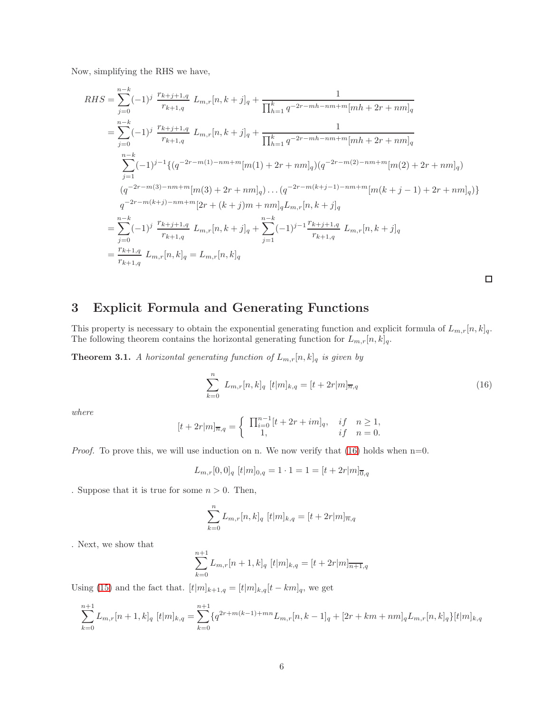Now, simplifying the RHS we have,

$$
RHS = \sum_{j=0}^{n-k} (-1)^j \frac{r_{k+j+1,q}}{r_{k+1,q}} L_{m,r}[n, k+j]_q + \frac{1}{\prod_{h=1}^k q^{-2r - mh - nm + m} [mh + 2r + nm]_q}
$$
  
\n
$$
= \sum_{j=0}^{n-k} (-1)^j \frac{r_{k+j+1,q}}{r_{k+1,q}} L_{m,r}[n, k+j]_q + \frac{1}{\prod_{h=1}^k q^{-2r - mh - nm + m} [mh + 2r + nm]_q}
$$
  
\n
$$
\sum_{j=1}^{n-k} (-1)^{j-1} \{ (q^{-2r - m(1) - nm + m} [m(1) + 2r + nm]_q) (q^{-2r - m(2) - nm + m} [m(2) + 2r + nm]_q )
$$
  
\n
$$
(q^{-2r - m(3) - nm + m} [m(3) + 2r + nm]_q) \dots (q^{-2r - m(k+j-1) - nm + m} [m(k + j - 1) + 2r + nm]_q )\}
$$
  
\n
$$
q^{-2r - m(k+j) - nm + m} [2r + (k + j)m + nm]_q L_{m,r}[n, k + j]_q
$$
  
\n
$$
= \sum_{j=0}^{n-k} (-1)^j \frac{r_{k+j+1,q}}{r_{k+1,q}} L_{m,r}[n, k + j]_q + \sum_{j=1}^{n-k} (-1)^{j-1} \frac{r_{k+j+1,q}}{r_{k+1,q}} L_{m,r}[n, k + j]_q
$$
  
\n
$$
= \frac{r_{k+1,q}}{r_{k+1,q}} L_{m,r}[n, k]_q = L_{m,r}[n, k]_q
$$

 $\Box$ 

# 3 Explicit Formula and Generating Functions

This property is necessary to obtain the exponential generating function and explicit formula of  $L_{m,r}[n, k]_q$ . The following theorem contains the horizontal generating function for  $L_{m,r}[n, k]_q$ .

**Theorem 3.1.** *A horizontal generating function of*  $L_{m,r}[n, k]_q$  *is given by* 

<span id="page-5-0"></span>
$$
\sum_{k=0}^{n} L_{m,r}[n,k]_q [t|m]_{k,q} = [t+2r|m]_{\overline{n},q}
$$
\n(16)

*where*

$$
[t + 2r|m]_{\overline{n},q} = \begin{cases} \prod_{i=0}^{n-1} [t + 2r + im]_q, & if \quad n \ge 1, \\ 1, & if \quad n = 0. \end{cases}
$$

*Proof.* To prove this, we will use induction on n. We now verify that  $(16)$  holds when  $n=0$ .

$$
L_{m,r}[0,0]_q \ [t|m]_{0,q} = 1 \cdot 1 = 1 = [t+2r|m]_{\overline{0},q}
$$

. Suppose that it is true for some  $n > 0$ . Then,

$$
\sum_{k=0}^{n} L_{m,r}[n,k]_q \ [t|m]_{k,q} = [t+2r|m]_{\overline{n},q}
$$

. Next, we show that

$$
\sum_{k=0}^{n+1} L_{m,r}[n+1,k]_q [t|m]_{k,q} = [t+2r|m]_{\overline{n+1},q}
$$

Using [\(15\)](#page-3-0) and the fact that.  $[t|m]_{k+1,q} = [t|m]_{k,q}[t - km]_q$ , we get

$$
\sum_{k=0}^{n+1} L_{m,r}[n+1,k]_q [t|m]_{k,q} = \sum_{k=0}^{n+1} \{q^{2r+m(k-1)+mn} L_{m,r}[n,k-1]_q + [2r+km+nm]_q L_{m,r}[n,k]_q\} [t|m]_{k,q}
$$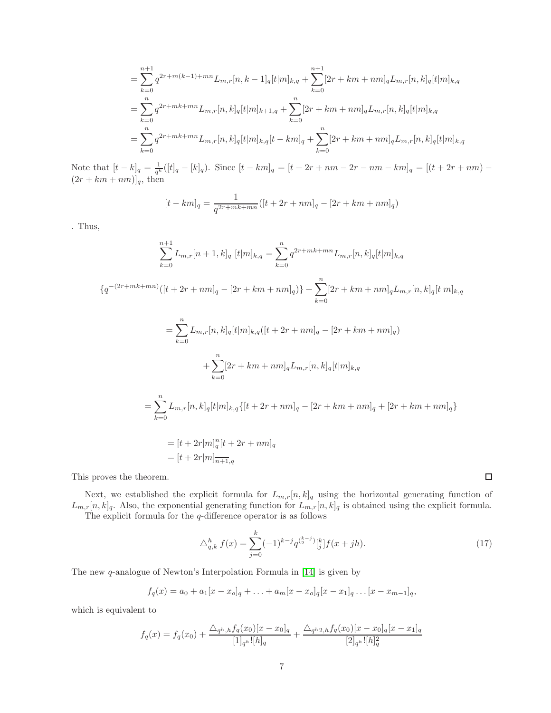$$
= \sum_{k=0}^{n+1} q^{2r+m(k-1)+mn} L_{m,r}[n, k-1]_q[t|m]_{k,q} + \sum_{k=0}^{n+1} [2r+km+nm]_q L_{m,r}[n, k]_q[t|m]_{k,q}
$$
  

$$
= \sum_{k=0}^{n} q^{2r+mk+mn} L_{m,r}[n, k]_q[t|m]_{k+1,q} + \sum_{k=0}^{n} [2r+km+nm]_q L_{m,r}[n, k]_q[t|m]_{k,q}
$$
  

$$
= \sum_{k=0}^{n} q^{2r+mk+mn} L_{m,r}[n, k]_q[t|m]_{k,q}[t-km]_q + \sum_{k=0}^{n} [2r+km+nm]_q L_{m,r}[n, k]_q[t|m]_{k,q}
$$

Note that  $[t-k]_q = \frac{1}{q^k}([t]_q - [k]_q)$ . Since  $[t - km]_q = [t + 2r + nm - 2r - nm - km]_q = [(t + 2r + nm) (2r + km + nm)]_q$ , then

$$
[t - km]_q = \frac{1}{q^{2r + mk + mn}}([t + 2r + nm]_q - [2r + km + nm]_q)
$$

. Thus,

$$
\sum_{k=0}^{n+1} L_{m,r}[n+1,k]_q [t|m]_{k,q} = \sum_{k=0}^{n} q^{2r+mk+mn} L_{m,r}[n,k]_q [t|m]_{k,q}
$$
  
\n
$$
\{q^{-(2r+mk+mn)}([t+2r+nm]_q - [2r+km+nm]_q)\} + \sum_{k=0}^{n} [2r+km+nm]_q L_{m,r}[n,k]_q [t|m]_{k,q}
$$
  
\n
$$
= \sum_{k=0}^{n} L_{m,r}[n,k]_q [t|m]_{k,q}([t+2r+nm]_q - [2r+km+nm]_q)
$$
  
\n
$$
+ \sum_{k=0}^{n} [2r+km+nm]_q L_{m,r}[n,k]_q [t|m]_{k,q}
$$
  
\n
$$
= \sum_{k=0}^{n} L_{m,r}[n,k]_q [t|m]_{k,q} \{[t+2r+nm]_q - [2r+km+nm]_q + [2r+km+nm]_q\}
$$
  
\n
$$
= [t+2r|m]_q^n [t+2r+nm]_q
$$
  
\n
$$
= [t+2r|m]_{n+1,q}^{n} [t+2r+nm]_q
$$

This proves the theorem.

Next, we established the explicit formula for  $L_{m,r}[n, k]_q$  using the horizontal generating function of  $L_{m,r}[n,k]_q$ . Also, the exponential generating function for  $L_{m,r}[n,k]_q$  is obtained using the explicit formula. The explicit formula for the  $q\text{-difference operator}$  is as follows

<span id="page-6-0"></span>
$$
\triangle_{q,k}^h f(x) = \sum_{j=0}^k (-1)^{k-j} q^{\binom{k-j}{2}} \binom{k}{j} f(x+jh). \tag{17}
$$

 $\Box$ 

The new q-analogue of Newton's Interpolation Formula in [\[14\]](#page-12-8) is given by

$$
f_q(x) = a_0 + a_1[x - x_o]_q + \ldots + a_m[x - x_o]_q[x - x_1]_q \ldots [x - x_{m-1}]_q,
$$

which is equivalent to

$$
f_q(x) = f_q(x_0) + \frac{\Delta_{q^h,h} f_q(x_0)[x - x_0]_q}{[1]_q h! [h]_q} + \frac{\Delta_{q^h2,h} f_q(x_0)[x - x_0]_q[x - x_1]_q}{[2]_q h! [h]_q^2}
$$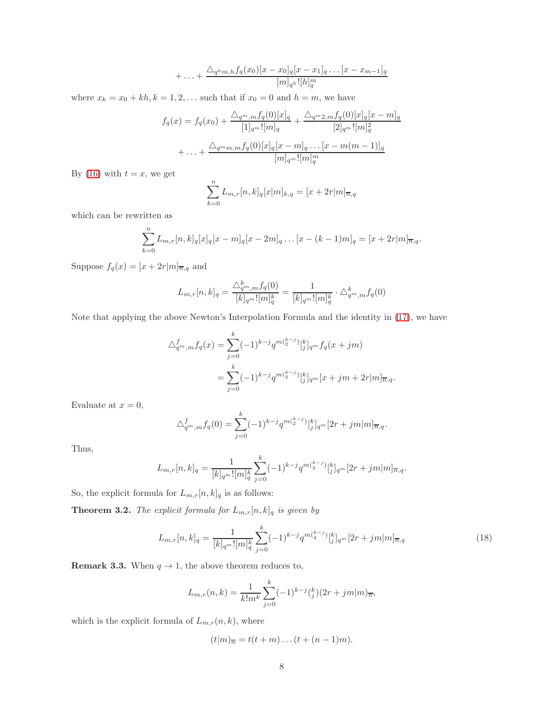$$
+\ldots+\frac{\triangle_{q^h m,h}f_q(x_0)[x-x_0]_q[x-x_1]_q\ldots[x-x_{m-1}]_q}{[m]_{q^h}![h]_q^m}
$$

where  $x_k = x_0 + kh, k = 1, 2, \dots$  such that if  $x_0 = 0$  and  $h = m$ , we have

$$
f_q(x) = f_q(x_0) + \frac{\Delta_{q^m,m} f_q(0)[x]_q}{[1]_{q^m}![m]_q} + \frac{\Delta_{q^m2,m} f_q(0)[x]_q[x-m]_q}{[2]_{q^m}![m]_q^2}
$$
  
+ ... +  $\frac{\Delta_{q^m m,m} f_q(0)[x]_q[x-m]_q ... [x-m(m-1)]_q}{[m]_{q^m}![m]_q^m}$ 

By [\(16\)](#page-5-0) with  $t = x$ , we get

$$
\sum_{k=0}^{n} L_{m,r}[n,k]_q[x|m]_{k,q} = [x + 2r|m]_{\overline{n},q}
$$

which can be rewritten as

$$
\sum_{k=0}^{n} L_{m,r}[n,k]_q[x]_q[x-m]_q[x-2m]_q \dots [x-(k-1)m]_q = [x+2r]_m \overline{a}_q.
$$

Suppose  $f_q(x) = [x + 2r|m]_{\overline{n},q}$  and

$$
L_{m,r}[n,k]_q = \frac{\triangle_q^{k_m} m f_q(0)}{[k]_{q^m}! [m]_q^k} = \frac{1}{[k]_{q^m}! [m]_q^k} \cdot \triangle_{q^m,m}^k f_q(0)
$$

Note that applying the above Newton's Interpolation Formula and the identity in [\(17\)](#page-6-0), we have

$$
\Delta_{q^m,m}^f f_q(x) = \sum_{j=0}^k (-1)^{k-j} q^{m\binom{k-j}{2}} \Big[ \frac{k}{j} \Big]_{q^m} f_q(x+jm)
$$
  
= 
$$
\sum_{j=0}^k (-1)^{k-j} q^{m\binom{k-j}{2}} \Big[ \frac{k}{j} \Big]_{q^m} [x+jm+2r|m]_{\overline{n},q}.
$$

Evaluate at  $x = 0$ ,

$$
\triangle_{q^m,m}^f f_q(0) = \sum_{j=0}^k (-1)^{k-j} q^{m {k-j \choose 2}} {k \brack j} q^m [2r + jm | m]_{\overline{n},q}.
$$

Thus,

$$
L_{m,r}[n,k]_q = \frac{1}{[k]_{q^m}! [m]_q^k} \sum_{j=0}^k (-1)^{k-j} q^{m {k-j \choose 2}} {k \brack j} _{q^m} [2r+jm|m]_{\overline{n},q}.
$$

So, the explicit formula for  ${\cal L}_{m,r}[n,k]_q$  is as follows:

**Theorem 3.2.** *The explicit formula for*  $L_{m,r}[n,k]_q$  *is given by* 

<span id="page-7-0"></span>
$$
L_{m,r}[n,k]_q = \frac{1}{[k]_q m! [m]_q^k} \sum_{j=0}^k (-1)^{k-j} q^{m\binom{k-j}{2}} \left[\binom{k}{j} q^m [2r+jm]m\right]_{\overline{n},q} \tag{18}
$$

**Remark 3.3.** When  $q \rightarrow 1$ , the above theorem reduces to,

$$
L_{m,r}(n,k) = \frac{1}{k!m^k} \sum_{j=0}^k (-1)^{k-j} {k \choose j} (2r+jm|m)_{\overline{n}},
$$

which is the explicit formula of  $L_{m,r}(n, k)$ , where

$$
(t|m)n = t(t+m)...(t+(n-1)m).
$$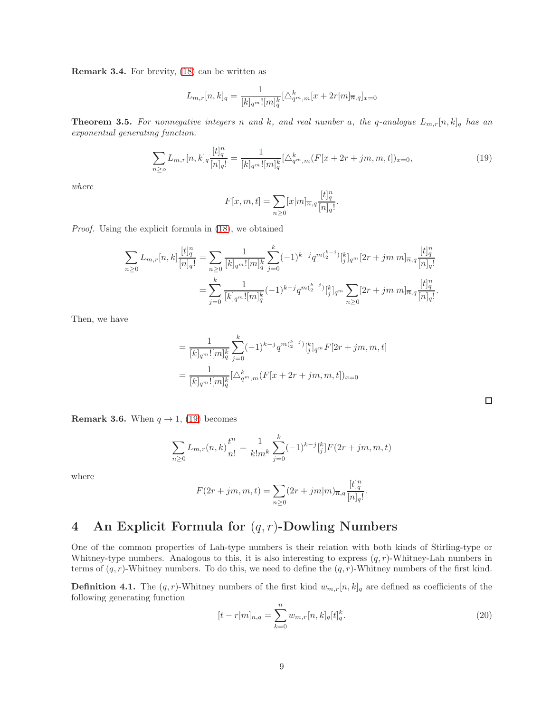Remark 3.4. For brevity, [\(18\)](#page-7-0) can be written as

$$
L_{m,r}[n,k]_q = \frac{1}{[k]_{q^m}![m]_q^k} [\triangle_{q^m,m}^k [x + 2r|m]_{\overline{n},q}]_{x=0}
$$

**Theorem 3.5.** For nonnegative integers n and k, and real number a, the q-analogue  $L_{m,r}[n,k]_q$  has an *exponential generating function.*

<span id="page-8-0"></span>
$$
\sum_{n\geq o} L_{m,r}[n,k]_q \frac{[t]_q^n}{[n]_q!} = \frac{1}{[k]_q^{m}![m]_q^k} [\Delta_{q^m,m}^k (F[x+2r+jm,m,t])_{x=0},\tag{19}
$$

*where*

$$
F[x, m, t] = \sum_{n \ge 0} [x|m]_{\overline{n}, q} \frac{[t]_q^n}{[n]_q!}.
$$

*Proof.* Using the explicit formula in [\(18\)](#page-7-0), we obtained

$$
\begin{split} \sum_{n\geq 0} L_{m,r}[n,k] \frac{[t]_q^n}{[n]_q!} &= \sum_{n\geq 0} \frac{1}{[k]_{q^m}![m]_q^k} \sum_{j=0}^k (-1)^{k-j} q^{m\binom{k-j}{2}} \genfrac{[}{]}{0pt}{}{k}{j}_{q^m}[2r+jm|m]_{\overline{n},q} \frac{[t]_q^n}{[n]_q!} \\ &= \sum_{j=0}^k \frac{1}{[k]_{q^m}![m]_q^k} (-1)^{k-j} q^{m\binom{k-j}{2}} \genfrac{[}{]}{0pt}{}{k}{j}_{q^m} \sum_{n\geq 0} [2r+jm|m]_{\overline{n},q} \frac{[t]_q^n}{[n]_q!}. \end{split}
$$

Then, we have

$$
= \frac{1}{[k]_{q^m}![m]_q^k} \sum_{j=0}^k (-1)^{k-j} q^{m\binom{k-j}{2}} \Big[ \binom{k}{j} \Big]_{q^m} F[2r+jm, m, t]
$$

$$
= \frac{1}{[k]_{q^m}![m]_q^k} [\triangle_{q^m, m}^k (F[x+2r+jm, m, t])_{x=0}
$$

**Remark 3.6.** When  $q \rightarrow 1$ , [\(19\)](#page-8-0) becomes

$$
\sum_{n\geq 0} L_{m,r}(n,k) \frac{t^n}{n!} = \frac{1}{k!m^k} \sum_{j=0}^k (-1)^{k-j} \binom{k}{j} F(2r+jm, m, t)
$$

where

$$
F(2r+jm, m, t) = \sum_{n\geq 0} (2r+jm|m)_{\overline{n}, q} \frac{[t]_q^n}{[n]_q!}.
$$

# 4 An Explicit Formula for  $(q, r)$ -Dowling Numbers

One of the common properties of Lah-type numbers is their relation with both kinds of Stirling-type or Whitney-type numbers. Analogous to this, it is also interesting to express  $(q, r)$ -Whitney-Lah numbers in terms of  $(q, r)$ -Whitney numbers. To do this, we need to define the  $(q, r)$ -Whitney numbers of the first kind.

**Definition 4.1.** The  $(q, r)$ -Whitney numbers of the first kind  $w_{m,r}[n, k]_q$  are defined as coefficients of the following generating function

<span id="page-8-1"></span>
$$
[t - r|m]_{n,q} = \sum_{k=0}^{n} w_{m,r}[n,k]_q [t]_q^k.
$$
\n(20)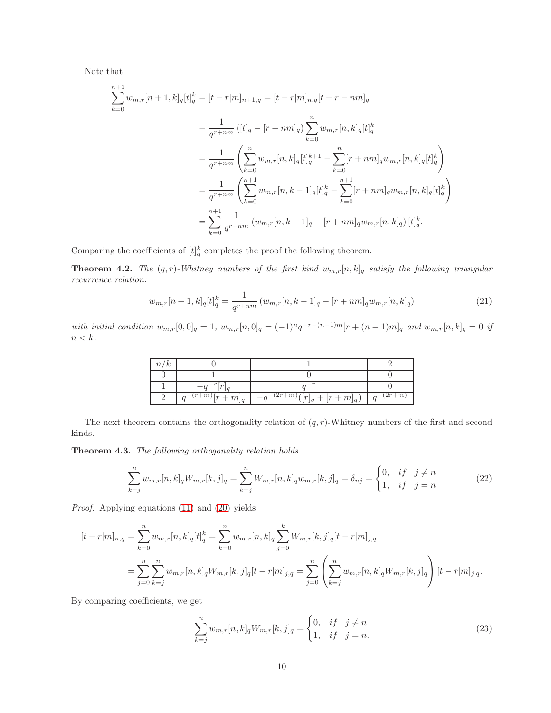Note that

$$
\sum_{k=0}^{n+1} w_{m,r}[n+1,k]_q[t]_q^k = [t-r|m]_{n+1,q} = [t-r|m]_{n,q}[t-r-nm]_q
$$
  

$$
= \frac{1}{q^{r+nm}} ([t]_q - [r+nm]_q) \sum_{k=0}^n w_{m,r}[n,k]_q[t]_q^k
$$
  

$$
= \frac{1}{q^{r+nm}} \left( \sum_{k=0}^n w_{m,r}[n,k]_q[t]_q^{k+1} - \sum_{k=0}^n [r+nm]_q w_{m,r}[n,k]_q[t]_q^k \right)
$$
  

$$
= \frac{1}{q^{r+nm}} \left( \sum_{k=0}^{n+1} w_{m,r}[n,k-1]_q[t]_q^k - \sum_{k=0}^{n+1} [r+nm]_q w_{m,r}[n,k]_q[t]_q^k \right)
$$
  

$$
= \sum_{k=0}^{n+1} \frac{1}{q^{r+nm}} (w_{m,r}[n,k-1]_q - [r+nm]_q w_{m,r}[n,k]_q) [t]_q^k.
$$

Comparing the coefficients of  $[t]_q^k$  completes the proof the following theorem.

**Theorem 4.2.** *The*  $(q, r)$ *-Whitney numbers of the first kind*  $w_{m,r}[n, k]_q$  *satisfy the following triangular recurrence relation:*

$$
w_{m,r}[n+1,k]_q[t]_q^k = \frac{1}{q^{r+nm}} \left( w_{m,r}[n,k-1]_q - [r+nm]_q w_{m,r}[n,k]_q \right)
$$
\n(21)

*with initial condition*  $w_{m,r}[0,0]_q = 1$ ,  $w_{m,r}[n,0]_q = (-1)^n q^{-r-(n-1)m} [r + (n-1)m]_q$  and  $w_{m,r}[n,k]_q = 0$  *if*  $n < k$  .

| n/k |                     |                                            |           |
|-----|---------------------|--------------------------------------------|-----------|
|     |                     |                                            |           |
|     |                     |                                            |           |
|     | $q^{-(r+m)}[r+m]_q$ | $-\overline{q^{-(2r+m)}}([r]_q + [r+m]_q)$ | $-(2r+m)$ |

The next theorem contains the orthogonality relation of  $(q, r)$ -Whitney numbers of the first and second kinds.

Theorem 4.3. *The following orthogonality relation holds*

$$
\sum_{k=j}^{n} w_{m,r}[n,k]_q W_{m,r}[k,j]_q = \sum_{k=j}^{n} W_{m,r}[n,k]_q w_{m,r}[k,j]_q = \delta_{nj} = \begin{cases} 0, & \text{if } j \neq n \\ 1, & \text{if } j = n \end{cases}
$$
(22)

*Proof.* Applying equations [\(11\)](#page-2-3) and [\(20\)](#page-8-1) yields

$$
[t - r|m]_{n,q} = \sum_{k=0}^{n} w_{m,r}[n,k]_q [t]_q^k = \sum_{k=0}^{n} w_{m,r}[n,k]_q \sum_{j=0}^{k} W_{m,r}[k,j]_q [t - r|m]_{j,q}
$$
  

$$
= \sum_{j=0}^{n} \sum_{k=j}^{n} w_{m,r}[n,k]_q W_{m,r}[k,j]_q [t - r|m]_{j,q} = \sum_{j=0}^{n} \left( \sum_{k=j}^{n} w_{m,r}[n,k]_q W_{m,r}[k,j]_q \right) [t - r|m]_{j,q}.
$$

By comparing coefficients, we get

<span id="page-9-0"></span>
$$
\sum_{k=j}^{n} w_{m,r}[n,k]_q W_{m,r}[k,j]_q = \begin{cases} 0, & if \quad j \neq n \\ 1, & if \quad j = n. \end{cases}
$$
 (23)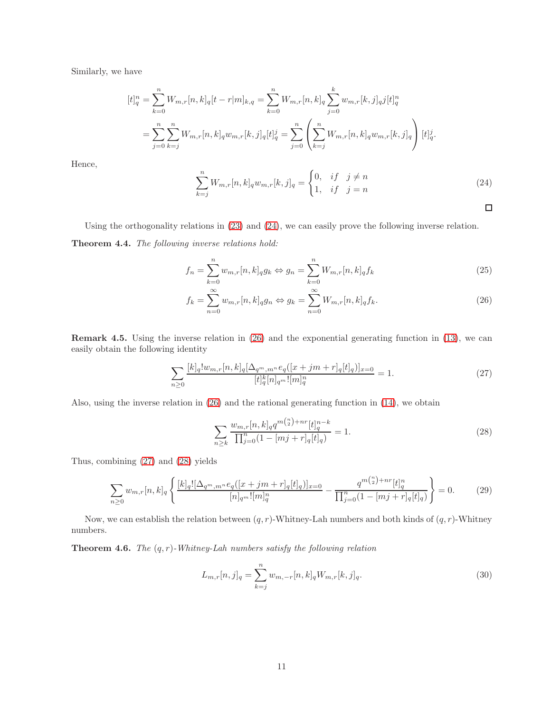Similarly, we have

$$
[t]_q^n = \sum_{k=0}^n W_{m,r}[n,k]_q[t-r|m]_{k,q} = \sum_{k=0}^n W_{m,r}[n,k]_q \sum_{j=0}^k w_{m,r}[k,j]_q j[t]_q^n
$$
  

$$
= \sum_{j=0}^n \sum_{k=j}^n W_{m,r}[n,k]_q w_{m,r}[k,j]_q [t]_q^j = \sum_{j=0}^n \left( \sum_{k=j}^n W_{m,r}[n,k]_q w_{m,r}[k,j]_q \right) [t]_q^j.
$$
  

$$
\sum_{j=0}^n W_{m,r}[n,k]_q w_{m,r}[k,j]_q = \begin{cases} 0, & \text{if } j \neq n \\ 1, & \text{if } j \neq n \end{cases}
$$
 (24)

Hence,

<span id="page-10-0"></span>
$$
\sum_{k=j}^{n} W_{m,r}[n,k]_q w_{m,r}[k,j]_q = \begin{cases} 0, & if \quad j \neq n \\ 1, & if \quad j = n \end{cases}
$$
 (24)

<span id="page-10-4"></span><span id="page-10-1"></span> $\Box$ 

Using the orthogonality relations in [\(23\)](#page-9-0) and [\(24\)](#page-10-0), we can easily prove the following inverse relation.

Theorem 4.4. *The following inverse relations hold:*

$$
f_n = \sum_{k=0}^{n} w_{m,r}[n,k]_q g_k \Leftrightarrow g_n = \sum_{k=0}^{n} W_{m,r}[n,k]_q f_k
$$
\n(25)

$$
f_k = \sum_{n=0}^{\infty} w_{m,r}[n,k]_q g_n \Leftrightarrow g_k = \sum_{n=0}^{\infty} W_{m,r}[n,k]_q f_k.
$$
 (26)

Remark 4.5. Using the inverse relation in [\(26\)](#page-10-1) and the exponential generating function in [\(13\)](#page-2-4), we can easily obtain the following identity

n

<span id="page-10-2"></span>
$$
\sum_{n\geq 0} \frac{[k]_q! w_{m,r}[n,k]_q [\Delta_{q^m,m^n} e_q([x+jm+r]_q[t]_q)]_{x=0}}{[t]_q^k [n]_q n! [m]_q^n} = 1.
$$
\n(27)

Also, using the inverse relation in [\(26\)](#page-10-1) and the rational generating function in [\(14\)](#page-3-1), we obtain

<span id="page-10-3"></span>
$$
\sum_{n\geq k} \frac{w_{m,r}[n,k]_q q^{m\binom{n}{2}+nr}[t]_q^{n-k}}{\prod_{j=0}^n (1-[mj+r]_q[t]_q)} = 1.
$$
\n(28)

Thus, combining [\(27\)](#page-10-2) and [\(28\)](#page-10-3) yields

$$
\sum_{n\geq 0} w_{m,r}[n,k]_q \left\{ \frac{[k]_q! [\Delta_{q^m,m^n} e_q([x+jm+r]_q[t]_q)]_{x=0}}{[n]_{q^m}! [m]_q^n} - \frac{q^{m {n \choose 2}+nr} [t]_q^n}{\prod_{j=0}^n (1-[mj+r]_q[t]_q)} \right\} = 0. \tag{29}
$$

Now, we can establish the relation between  $(q, r)$ -Whitney-Lah numbers and both kinds of  $(q, r)$ -Whitney numbers.

Theorem 4.6. *The* (q, r)*-Whitney-Lah numbers satisfy the following relation*

<span id="page-10-5"></span>
$$
L_{m,r}[n,j]_q = \sum_{k=j}^n w_{m,-r}[n,k]_q W_{m,r}[k,j]_q.
$$
\n(30)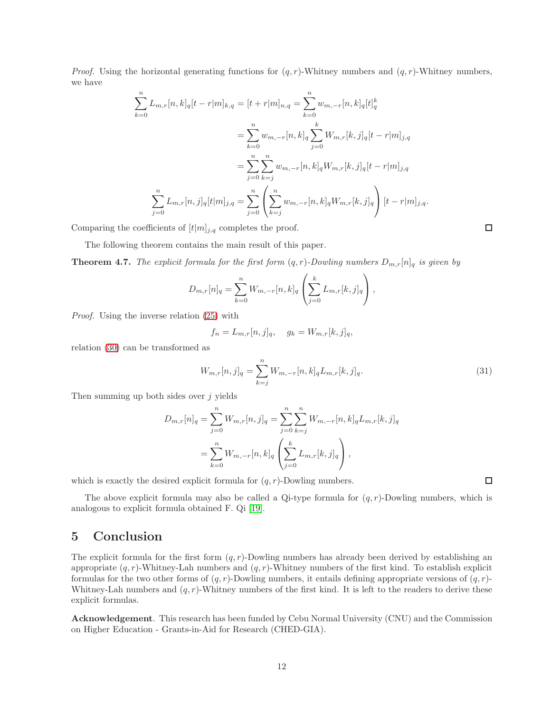*Proof.* Using the horizontal generating functions for  $(q, r)$ -Whitney numbers and  $(q, r)$ -Whitney numbers, we have

$$
\sum_{k=0}^{n} L_{m,r}[n,k]_q[t-r|m]_{k,q} = [t+r|m]_{n,q} = \sum_{k=0}^{n} w_{m,-r}[n,k]_q[t]_q^k
$$
  

$$
= \sum_{k=0}^{n} w_{m,-r}[n,k]_q \sum_{j=0}^{k} W_{m,r}[k,j]_q[t-r|m]_{j,q}
$$
  

$$
= \sum_{j=0}^{n} \sum_{k=j}^{n} w_{m,-r}[n,k]_q W_{m,r}[k,j]_q[t-r|m]_{j,q}
$$
  

$$
\sum_{j=0}^{n} L_{m,r}[n,j]_q[t|m]_{j,q} = \sum_{j=0}^{n} \left( \sum_{k=j}^{n} w_{m,-r}[n,k]_q W_{m,r}[k,j]_q \right) [t-r|m]_{j,q}.
$$

Comparing the coefficients of  $[t|m]_{j,q}$  completes the proof.

The following theorem contains the main result of this paper.

**Theorem 4.7.** *The explicit formula for the first form*  $(q, r)$ *-Dowling numbers*  $D_{m,r}[n]_q$  *is given by* 

$$
D_{m,r}[n]_q = \sum_{k=0}^n W_{m,-r}[n,k]_q \left( \sum_{j=0}^k L_{m,r}[k,j]_q \right),
$$

*Proof.* Using the inverse relation [\(25\)](#page-10-4) with

 $f_n = L_{m,r}[n, j]_q, \quad g_k = W_{m,r}[k, j]_q,$ 

relation [\(30\)](#page-10-5) can be transformed as

$$
W_{m,r}[n,j]_q = \sum_{k=j}^n W_{m,-r}[n,k]_q L_{m,r}[k,j]_q.
$$
\n(31)

Then summing up both sides over  $j$  yields

$$
D_{m,r}[n]_q = \sum_{j=0}^n W_{m,r}[n,j]_q = \sum_{j=0}^n \sum_{k=j}^n W_{m,-r}[n,k]_q L_{m,r}[k,j]_q
$$
  
= 
$$
\sum_{k=0}^n W_{m,-r}[n,k]_q \left( \sum_{j=0}^k L_{m,r}[k,j]_q \right),
$$

which is exactly the desired explicit formula for  $(q, r)$ -Dowling numbers.

The above explicit formula may also be called a Qi-type formula for  $(q, r)$ -Dowling numbers, which is analogous to explicit formula obtained F. Qi [\[19\]](#page-12-9).

# 5 Conclusion

The explicit formula for the first form  $(q, r)$ -Dowling numbers has already been derived by establishing an appropriate  $(q, r)$ -Whitney-Lah numbers and  $(q, r)$ -Whitney numbers of the first kind. To establish explicit formulas for the two other forms of  $(q, r)$ -Dowling numbers, it entails defining appropriate versions of  $(q, r)$ -Whitney-Lah numbers and  $(q, r)$ -Whitney numbers of the first kind. It is left to the readers to derive these explicit formulas.

Acknowledgement. This research has been funded by Cebu Normal University (CNU) and the Commission on Higher Education - Grants-in-Aid for Research (CHED-GIA).

 $\Box$ 

 $\Box$